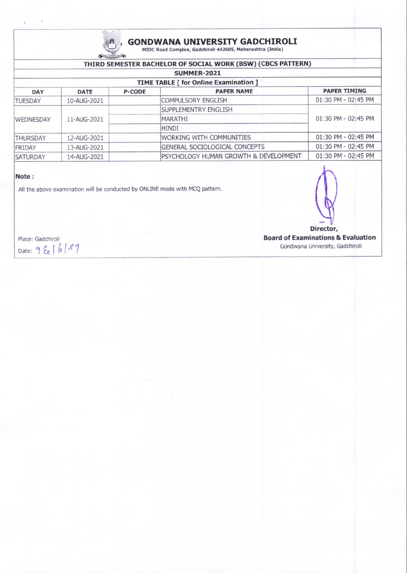

### GONDWANA UNIVERSITY GADCHIROLI

MIDC Road Complex, Gadchiroli 442605, Maharashtra (India)

| THIRD SEMESTER BACHELOR OF SOCIAL WORK (BSW) (CBCS PATTERN) |             |               |                                       |                         |  |  |  |  |
|-------------------------------------------------------------|-------------|---------------|---------------------------------------|-------------------------|--|--|--|--|
| <b>SUMMER-2021</b>                                          |             |               |                                       |                         |  |  |  |  |
| TIME TABLE [ for Online Examination ]                       |             |               |                                       |                         |  |  |  |  |
| <b>DAY</b>                                                  | <b>DATE</b> | <b>P-CODE</b> | <b>PAPER NAME</b>                     | <b>PAPER TIMING</b>     |  |  |  |  |
| <b>TUESDAY</b>                                              | 10-AUG-2021 |               | <b>COMPULSORY ENGLISH</b>             | 01:30 PM - 02:45 PM     |  |  |  |  |
| <b>WEDNESDAY</b>                                            | 11-AUG-2021 |               | <b>SUPPLEMENTRY ENGLISH</b>           | $01:30$ PM - $02:45$ PM |  |  |  |  |
|                                                             |             |               | <b>MARATHI</b>                        |                         |  |  |  |  |
|                                                             |             |               | <b>HINDI</b>                          |                         |  |  |  |  |
| <b>THURSDAY</b>                                             | 12-AUG-2021 |               | <b>IWORKING WITH COMMUNITIES</b>      | $01:30$ PM - $02:45$ PM |  |  |  |  |
| FRIDAY                                                      | 13-AUG-2021 |               | <b>GENERAL SOCIOLOGICAL CONCEPTS</b>  | 01:30 PM - 02:45 PM     |  |  |  |  |
| <b>SATURDAY</b>                                             | 14-AUG-2021 |               | PSYCHOLOGY HUMAN GROWTH & DEVELOPMENT | 01:30 PM - 02:45 PM     |  |  |  |  |

#### Note:

All the above examination will be conducted by ONLINE mode with MCQ pattern.



Place: Gadchiroli Date: 9 Ee | 6 | 29 Board of Examinations & Evaluation Gondwana University, Gadchiroli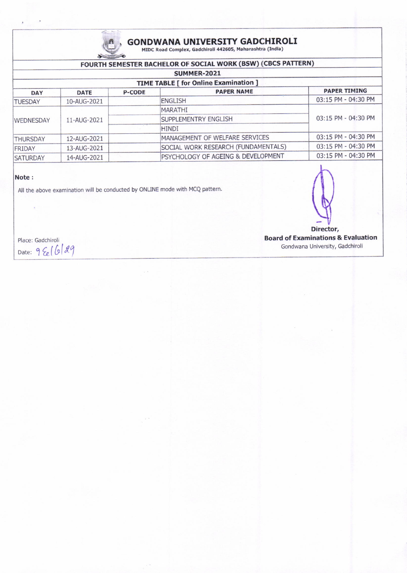

## **GONDWANA UNIVERSITY GADCHIROLI**<br>MIDC Road Complex, Gadchiroli 442605, Maharashtra (India)

#### FOURTH SEMESTER BACHELOR OF SOCIAL WORK (BSW) (CBCS PATTERN)

| SUMMER-2021<br>TIME TABLE [ for Online Examination ] |             |  |                                     |                     |  |  |  |
|------------------------------------------------------|-------------|--|-------------------------------------|---------------------|--|--|--|
|                                                      |             |  |                                     |                     |  |  |  |
| <b>TUESDAY</b>                                       | 10-AUG-2021 |  | <b>ENGLISH</b>                      | 03:15 PM - 04:30 PM |  |  |  |
| <b>WEDNESDAY</b>                                     | 11-AUG-2021 |  | <b>MARATHI</b>                      | 03:15 PM - 04:30 PM |  |  |  |
|                                                      |             |  | <b>SUPPLEMENTRY ENGLISH</b>         |                     |  |  |  |
|                                                      |             |  | <b>HINDI</b>                        |                     |  |  |  |
| <b>THURSDAY</b>                                      | 12-AUG-2021 |  | MANAGEMENT OF WELFARE SERVICES      | 03:15 PM - 04:30 PM |  |  |  |
| FRIDAY                                               | 13-AUG-2021 |  | SOCIAL WORK RESEARCH (FUNDAMENTALS) | 03:15 PM - 04:30 PM |  |  |  |
| <b>SATURDAY</b>                                      | 14-AUG-2021 |  | PSYCHOLOGY OF AGEING & DEVELOPMENT  | 03:15 PM - 04:30 PM |  |  |  |
|                                                      |             |  |                                     |                     |  |  |  |

#### Note :

 $\ddot{\phi}$ 

All the above examination will be conducted by ONLINE mode with MCQ pattern.

 $\bigcap$  $\mathbb{W}$  $\bigcup_{\text{Director},\text{}}$ 

Place: Gadchiroli Date: 9 Eel 6 29 Board of Examinations & Evaluation Gondwana University, Gadchiroli